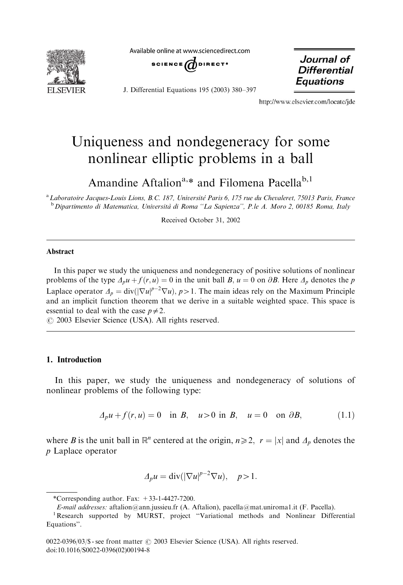

Available online at www.sciencedirect.com



J. Differential Equations 195 (2003) 380–397

Journal of **Differential Equations** 

http://www.elsevier.com/locate/ide

# Uniqueness and nondegeneracy for some nonlinear elliptic problems in a ball

Amandine Aftalion<sup>a,\*</sup> and Filomena Pacella<sup>b,1</sup>

<sup>a</sup> Laboratoire Jacques-Louis Lions, B.C. 187, Université Paris 6, 175 rue du Chevaleret, 75013 Paris, France <sup>b</sup> Dipartimento di Matematica, Università di Roma "La Sapienza", P.le A. Moro 2, 00185 Roma, Italy

Received October 31, 2002

#### Abstract

In this paper we study the uniqueness and nondegeneracy of positive solutions of nonlinear problems of the type  $\Delta_p u + f(r, u) = 0$  in the unit ball B,  $u = 0$  on  $\partial B$ . Here  $\Delta_p$  denotes the p Laplace operator  $\Delta_p = \text{div}(|\nabla u|^{p-2} \nabla u)$ ,  $p > 1$ . The main ideas rely on the Maximum Principle and an implicit function theorem that we derive in a suitable weighted space. This space is essential to deal with the case  $p \neq 2$ .

 $O$  2003 Elsevier Science (USA). All rights reserved.

# 1. Introduction

In this paper, we study the uniqueness and nondegeneracy of solutions of nonlinear problems of the following type:

$$
\Delta_p u + f(r, u) = 0 \quad \text{in } B, \quad u > 0 \text{ in } B, \quad u = 0 \quad \text{on } \partial B,
$$
 (1.1)

where B is the unit ball in  $\mathbb{R}^n$  centered at the origin,  $n \ge 2$ ,  $r = |x|$  and  $\Delta_p$  denotes the p Laplace operator

$$
\Delta_p u = \text{div}(|\nabla u|^{p-2} \nabla u), \quad p > 1.
$$

<sup>\*</sup>Corresponding author. Fax:  $+33-1-4427-7200$ .

E-mail addresses: aftalion@ann.jussieu.fr (A. Aftalion), pacella@mat.uniroma1.it (F. Pacella). <sup>1</sup>

Research supported by MURST, project "Variational methods and Nonlinear Differential Equations''.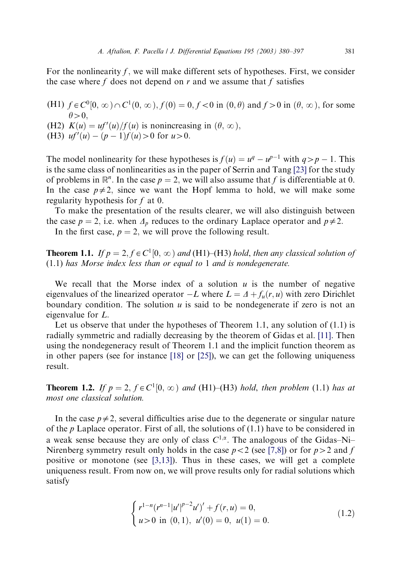For the nonlinearity f, we will make different sets of hypotheses. First, we consider the case where f does not depend on  $r$  and we assume that  $f$  satisfies

- (H1)  $f \in C^0[0,\infty) \cap C^1(0,\infty)$ ,  $f(0) = 0$ ,  $f < 0$  in  $(0,\theta)$  and  $f > 0$  in  $(\theta, \infty)$ , for some  $\theta > 0$ .
- (H2)  $K(u) = uf'(u)/f(u)$  is nonincreasing in  $(\theta, \infty)$ ,
- (H3)  $uf'(u) (p-1)f(u) > 0$  for  $u > 0$ .

The model nonlinearity for these hypotheses is  $f(u) = u^q - u^{p-1}$  with  $q > p - 1$ . This is the same class of nonlinearities as in the paper of Serrin and Tang [\[23\]](#page-17-0) for the study of problems in  $\mathbb{R}^n$ . In the case  $p = 2$ , we will also assume that f is differentiable at 0. In the case  $p\neq 2$ , since we want the Hopf lemma to hold, we will make some regularity hypothesis for  $f$  at 0.

To make the presentation of the results clearer, we will also distinguish between the case  $p = 2$ , i.e. when  $\Delta_p$  reduces to the ordinary Laplace operator and  $p \neq 2$ .

In the first case,  $p = 2$ , we will prove the following result.

**Theorem 1.1.** If  $p = 2$ ,  $f \in C^1[0, \infty)$  and (H1)–(H3) hold, then any classical solution of (1.1) has Morse index less than or equal to 1 and is nondegenerate.

We recall that the Morse index of a solution  $u$  is the number of negative eigenvalues of the linearized operator  $-L$  where  $L = \Delta + f_u(r, u)$  with zero Dirichlet boundary condition. The solution  $u$  is said to be nondegenerate if zero is not an eigenvalue for L:

Let us observe that under the hypotheses of Theorem 1.1, any solution of  $(1.1)$  is radially symmetric and radially decreasing by the theorem of Gidas et al. [\[11\].](#page-16-0) Then using the nondegeneracy result of Theorem 1.1 and the implicit function theorem as in other papers (see for instance [\[18\]](#page-16-0) or [\[25\]](#page-17-0)), we can get the following uniqueness result.

**Theorem 1.2.** If  $p = 2$ ,  $f \in C^1[0,\infty)$  and (H1)–(H3) hold, then problem (1.1) has at most one classical solution.

In the case  $p\neq 2$ , several difficulties arise due to the degenerate or singular nature of the p Laplace operator. First of all, the solutions of  $(1.1)$  have to be considered in a weak sense because they are only of class  $C^{1,\alpha}$ . The analogous of the Gidas–Ni– Nirenberg symmetry result only holds in the case  $p < 2$  (see [\[7,8\]\)](#page-16-0) or for  $p > 2$  and f positive or monotone (see [\[3,13\]](#page-16-0)). Thus in these cases, we will get a complete uniqueness result. From now on, we will prove results onlyfor radial solutions which satisfy

$$
\begin{cases} r^{1-n}(r^{n-1}|u'|^{p-2}u')' + f(r,u) = 0, \\ u > 0 \text{ in } (0,1), u'(0) = 0, u(1) = 0. \end{cases}
$$
 (1.2)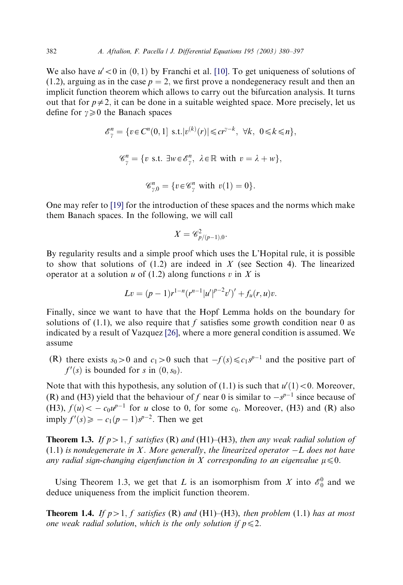We also have  $u' < 0$  in  $(0, 1)$  by Franchi et al. [\[10\]](#page-16-0). To get uniqueness of solutions of (1.2), arguing as in the case  $p = 2$ , we first prove a nondegeneracy result and then an implicit function theorem which allows to carryout the bifurcation analysis. It turns out that for  $p\neq 2$ , it can be done in a suitable weighted space. More precisely, let us define for  $\gamma \geq 0$  the Banach spaces

$$
\mathscr{E}_{\gamma}^{n} = \{ v \in C^{n}(0, 1] \text{ s.t.} |v^{(k)}(r)| \leq c r^{\gamma - k}, \forall k, 0 \leq k \leq n \},\
$$

$$
\mathscr{C}_{\gamma}^{n} = \{ v \text{ s.t. } \exists w \in \mathscr{E}_{\gamma}^{n}, \lambda \in \mathbb{R} \text{ with } v = \lambda + w \},\
$$

$$
\mathscr{C}_{\gamma,0}^{n} = \{ v \in \mathscr{C}_{\gamma}^{n} \text{ with } v(1) = 0 \}.
$$

One mayrefer to [\[19\]](#page-16-0) for the introduction of these spaces and the norms which make them Banach spaces. In the following, we will call

$$
X=\mathscr{C}_{p/(p-1),0}^2.
$$

By regularity results and a simple proof which uses the L'Hopital rule, it is possible to show that solutions of  $(1.2)$  are indeed in X (see Section 4). The linearized operator at a solution  $u$  of (1.2) along functions  $v$  in  $X$  is

$$
Lv = (p-1)r^{1-n}(r^{n-1}|u'|^{p-2}v')' + f_u(r,u)v.
$$

Finally, since we want to have that the Hopf Lemma holds on the boundary for solutions of  $(1.1)$ , we also require that f satisfies some growth condition near 0 as indicated bya result of Vazquez [\[26\],](#page-17-0) where a more general condition is assumed. We assume

(R) there exists  $s_0>0$  and  $c_1>0$  such that  $-f(s)\leq c_1s^{p-1}$  and the positive part of  $f'(s)$  is bounded for s in  $(0, s_0)$ .

Note that with this hypothesis, any solution of (1.1) is such that  $u'(1) < 0$ . Moreover, (R) and (H3) yield that the behaviour of f near 0 is similar to  $-s^{p-1}$  since because of (H3),  $f(u) < -c_0u^{p-1}$  for u close to 0, for some  $c_0$ . Moreover, (H3) and (R) also imply  $f'(s) \geqslant -c_1(p-1)s^{p-2}$ . Then we get

**Theorem 1.3.** If  $p>1$ , f satisfies (R) and (H1)–(H3), then any weak radial solution of  $(1.1)$  is nondegenerate in X. More generally, the linearized operator  $-L$  does not have any radial sign-changing eigenfunction in X corresponding to an eigenvalue  $\mu \leq 0$ .

Using Theorem 1.3, we get that L is an isomorphism from X into  $\mathcal{E}_0^0$  and we deduce uniqueness from the implicit function theorem.

**Theorem 1.4.** If  $p>1$ , f satisfies (R) and (H1)–(H3), then problem (1.1) has at most one weak radial solution, which is the only solution if  $p \leq 2$ .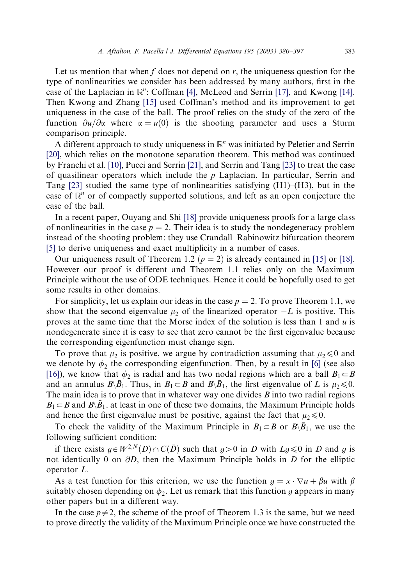Let us mention that when f does not depend on  $r$ , the uniqueness question for the type of nonlinearities we consider has been addressed by many authors, first in the case of the Laplacian in  $\mathbb{R}^n$ : Coffman [\[4\]](#page-16-0), McLeod and Serrin [\[17\]](#page-16-0), and Kwong [\[14\].](#page-16-0) Then Kwong and Zhang [\[15\]](#page-16-0) used Coffman's method and its improvement to get uniqueness in the case of the ball. The proof relies on the studyof the zero of the function  $\partial u/\partial x$  where  $\alpha = u(0)$  is the shooting parameter and uses a Sturm comparison principle.

A different approach to study uniqueness in  $\mathbb{R}^n$  was initiated by Peletier and Serrin [\[20\]](#page-17-0), which relies on the monotone separation theorem. This method was continued byFranchi et al. [\[10\],](#page-16-0) Pucci and Serrin [\[21\]](#page-17-0), and Serrin and Tang [\[23\]](#page-17-0) to treat the case of quasilinear operators which include the  $p$  Laplacian. In particular, Serrin and Tang [\[23\]](#page-17-0) studied the same type of nonlinearities satisfying (H1)–(H3), but in the case of  $\mathbb{R}^n$  or of compactly supported solutions, and left as an open conjecture the case of the ball.

In a recent paper, Ouyang and Shi [\[18\]](#page-16-0) provide uniqueness proofs for a large class of nonlinearities in the case  $p = 2$ . Their idea is to study the nondegeneracy problem instead of the shooting problem: they use Crandall–Rabinowitz bifurcation theorem [\[5\]](#page-16-0) to derive uniqueness and exact multiplicity in a number of cases.

Our uniqueness result of Theorem 1.2 ( $p = 2$ ) is already contained in [\[15\]](#page-16-0) or [\[18\].](#page-16-0) However our proof is different and Theorem 1.1 relies onlyon the Maximum Principle without the use of ODE techniques. Hence it could be hopefully used to get some results in other domains.

For simplicity, let us explain our ideas in the case  $p = 2$ . To prove Theorem 1.1, we show that the second eigenvalue  $\mu_2$  of the linearized operator  $-L$  is positive. This proves at the same time that the Morse index of the solution is less than 1 and  $u$  is nondegenerate since it is easyto see that zero cannot be the first eigenvalue because the corresponding eigenfunction must change sign.

To prove that  $\mu_2$  is positive, we argue by contradiction assuming that  $\mu_2 \leq 0$  and we denote by  $\phi_2$  the corresponding eigenfunction. Then, by a result in [\[6\]](#page-16-0) (see also [\[16\]](#page-16-0)), we know that  $\phi_2$  is radial and has two nodal regions which are a ball  $B_1 \subset B$ and an annulus  $B\setminus \overline{B}_1$ . Thus, in  $B_1\subset B$  and  $B\setminus \overline{B}_1$ , the first eigenvalue of L is  $\mu_2\leq 0$ . The main idea is to prove that in whatever way one divides  $B$  into two radial regions  $B_1 \subset B$  and  $B\setminus \overline{B}_1$ , at least in one of these two domains, the Maximum Principle holds and hence the first eigenvalue must be positive, against the fact that  $\mu_2 \le 0$ .

To check the validity of the Maximum Principle in  $B_1 \subset B$  or  $B \setminus \overline{B}_1$ , we use the following sufficient condition:

if there exists  $g \in W^{2,N}(D) \cap C(\overline{D})$  such that  $g>0$  in D with  $Lg \leq 0$  in D and g is not identically 0 on  $\partial D$ , then the Maximum Principle holds in D for the elliptic operator L:

As a test function for this criterion, we use the function  $g = x \cdot \nabla u + \beta u$  with  $\beta$ suitably chosen depending on  $\phi_2$ . Let us remark that this function g appears in many other papers but in a different way.

In the case  $p\neq 2$ , the scheme of the proof of Theorem 1.3 is the same, but we need to prove directlythe validityof the Maximum Principle once we have constructed the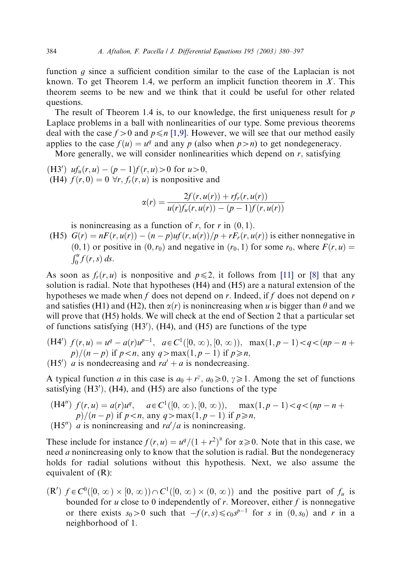function  $q$  since a sufficient condition similar to the case of the Laplacian is not known. To get Theorem 1.4, we perform an implicit function theorem in  $X$ . This theorem seems to be new and we think that it could be useful for other related questions.

The result of Theorem 1.4 is, to our knowledge, the first uniqueness result for  $p$ Laplace problems in a ball with nonlinearities of our type. Some previous theorems deal with the case  $f > 0$  and  $p \le n$  [\[1,9\]](#page-16-0). However, we will see that our method easily applies to the case  $f(u) = u^q$  and any p (also when  $p > n$ ) to get nondegeneracy.

More generally, we will consider nonlinearities which depend on  $r$ , satisfying

(H3')  $uf_u(r, u) - (p - 1)f(r, u) > 0$  for  $u > 0$ , (H4)  $f(r, 0) = 0 \forall r, f_r(r, u)$  is nonpositive and

$$
\alpha(r) = \frac{2f(r, u(r)) + rf_r(r, u(r))}{u(r)f_u(r, u(r)) - (p - 1)f(r, u(r))}
$$

is nonincreasing as a function of r, for r in  $(0, 1)$ .

(H5)  $G(r) = nF(r, u(r)) - (n - p)uf(r, u(r))/p + rF<sub>r</sub>(r, u(r))$  is either nonnegative in  $(0, 1)$  or positive in  $(0, r_0)$  and negative in  $(r_0, 1)$  for some  $r_0$ , where  $F(r, u) =$  $\int_0^u f(r,s) ds.$ 

As soon as  $f_r(r, u)$  is nonpositive and  $p \leq 2$ , it follows from [\[11\]](#page-16-0) or [\[8\]](#page-16-0) that any solution is radial. Note that hypotheses (H4) and (H5) are a natural extension of the hypotheses we made when f does not depend on r. Indeed, if f does not depend on r and satisfies (H1) and (H2), then  $\alpha(r)$  is nonincreasing when u is bigger than  $\theta$  and we will prove that (H5) holds. We will check at the end of Section 2 that a particular set of functions satisfying  $(H3')$ ,  $(H4)$ , and  $(H5)$  are functions of the type

- (H4')  $f(r, u) = u^q a(r)u^{p-1}$ ,  $a \in C^1([0, \infty), [0, \infty))$ ,  $\max(1, p-1) < q < (np n +$  $p/(n-p)$  if  $p < n$ , any  $q > max(1, p - 1)$  if  $p \ge n$ .
- (H5') *a* is nondecreasing and  $ra' + a$  is nondecreasing.

A typical function *a* in this case is  $a_0 + r^{\gamma}$ ,  $a_0 \ge 0$ ,  $\gamma \ge 1$ . Among the set of functions satisfying  $(H3')$ ,  $(H4)$ , and  $(H5)$  are also functions of the type

 $(H4'') f(r, u) = a(r)u^q$ ,  $a \in C^1([0, \infty), [0, \infty))$ ,  $max(1, p - 1) < q < (np - n + 1)$  $p)/(n-p)$  if  $p < n$ , any  $q > max(1, p - 1)$  if  $p \ge n$ , (H5") *a* is nonincreasing and  $rd/a$  is nonincreasing.

These include for instance  $f(r, u) = u^q/(1 + r^2)^{\alpha}$  for  $\alpha \ge 0$ . Note that in this case, we need a nonincreasing onlyto know that the solution is radial. But the nondegeneracy holds for radial solutions without this hypothesis. Next, we also assume the equivalent of (R):

 $(R')$   $f \in C^0([0, \infty) \times [0, \infty)) \cap C^1([0, \infty) \times (0, \infty))$  and the positive part of  $f_u$  is bounded for  $u$  close to 0 independently of  $r$ . Moreover, either  $f$  is nonnegative or there exists  $s_0>0$  such that  $-f(r,s)\leq c_0s^{p-1}$  for s in  $(0,s_0)$  and r in a neighborhood of 1: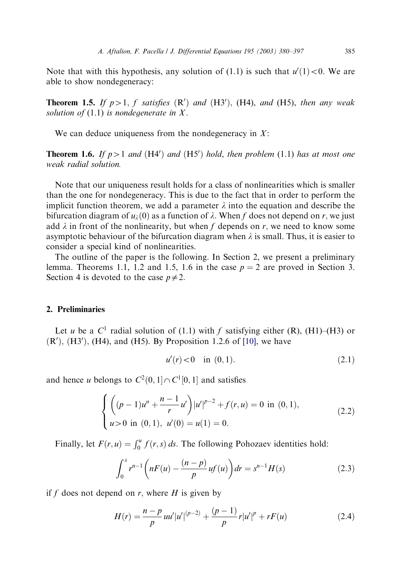Note that with this hypothesis, any solution of (1.1) is such that  $u'(1) < 0$ . We are able to show nondegeneracy:

**Theorem 1.5.** If  $p>1$ , f satisfies  $(R')$  and  $(H3')$ ,  $(H4)$ , and  $(H5)$ , then any weak solution of  $(1.1)$  is nondegenerate in X.

We can deduce uniqueness from the nondegeneracy in  $X$ :

**Theorem 1.6.** If  $p>1$  and (H4') and (H5') hold, then problem (1.1) has at most one weak radial solution.

Note that our uniqueness result holds for a class of nonlinearities which is smaller than the one for nondegeneracy. This is due to the fact that in order to perform the implicit function theorem, we add a parameter  $\lambda$  into the equation and describe the bifurcation diagram of  $u_i(0)$  as a function of  $\lambda$ . When f does not depend on r, we just add  $\lambda$  in front of the nonlinearity, but when f depends on r, we need to know some asymptotic behaviour of the bifurcation diagram when  $\lambda$  is small. Thus, it is easier to consider a special kind of nonlinearities.

The outline of the paper is the following. In Section 2, we present a preliminary lemma. Theorems 1.1, 1.2 and 1.5, 1.6 in the case  $p = 2$  are proved in Section 3. Section 4 is devoted to the case  $p \neq 2$ .

## 2. Preliminaries

Let u be a  $C^1$  radial solution of (1.1) with f satisfying either (R), (H1)–(H3) or  $(R<sup>'</sup>), (H3<sup>'</sup>), (H4), and (H5). By Proposition 1.2.6 of [10], we have$  $(R<sup>'</sup>), (H3<sup>'</sup>), (H4), and (H5). By Proposition 1.2.6 of [10], we have$  $(R<sup>'</sup>), (H3<sup>'</sup>), (H4), and (H5). By Proposition 1.2.6 of [10], we have$ 

$$
u'(r) < 0 \quad \text{in } (0,1). \tag{2.1}
$$

and hence u belongs to  $C^2(0,1] \cap C^1[0,1]$  and satisfies

$$
\begin{cases} \left( (p-1)u'' + \frac{n-1}{r}u' \right) |u'|^{p-2} + f(r, u) = 0 \text{ in } (0, 1), \\ u > 0 \text{ in } (0, 1), \ u'(0) = u(1) = 0. \end{cases}
$$
 (2.2)

Finally, let  $F(r, u) = \int_0^u f(r, s) ds$ . The following Pohozaev identities hold:

$$
\int_0^s r^{n-1} \left( nF(u) - \frac{(n-p)}{p}uf(u) \right) dr = s^{n-1}H(s)
$$
\n(2.3)

if f does not depend on r, where  $H$  is given by

$$
H(r) = \frac{n-p}{p} u u' |u'|^{(p-2)} + \frac{(p-1)}{p} r |u'|^p + rF(u)
$$
\n(2.4)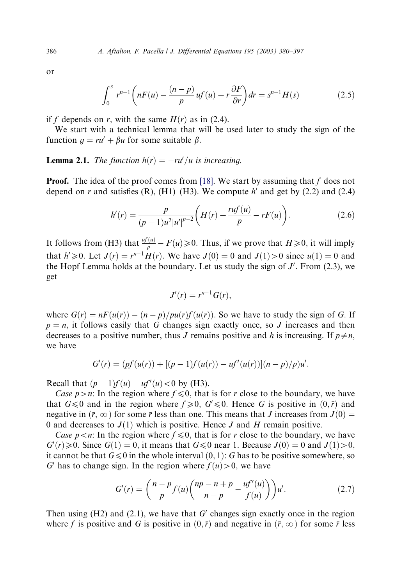or

$$
\int_0^s r^{n-1} \left( nF(u) - \frac{(n-p)}{p}uf(u) + r\frac{\partial F}{\partial r} \right) dr = s^{n-1}H(s)
$$
\n(2.5)

if f depends on r, with the same  $H(r)$  as in (2.4).

We start with a technical lemma that will be used later to study the sign of the function  $q = ru' + \beta u$  for some suitable  $\beta$ .

# **Lemma 2.1.** The function  $h(r) = -ru'/u$  is increasing.

**Proof.** The idea of the proof comes from [\[18\].](#page-16-0) We start by assuming that f does not depend on r and satisfies (R), (H1)–(H3). We compute h' and get by (2.2) and (2.4)

$$
h'(r) = \frac{p}{(p-1)u^2|u'|^{p-2}} \bigg(H(r) + \frac{ruf(u)}{p} - rF(u)\bigg).
$$
 (2.6)

It follows from (H3) that  $\frac{uf(u)}{p} - F(u) \ge 0$ . Thus, if we prove that  $H \ge 0$ , it will imply that  $h' \ge 0$ . Let  $J(r) = r^{n-1}H(r)$ . We have  $J(0) = 0$  and  $J(1) > 0$  since  $u(1) = 0$  and the Hopf Lemma holds at the boundary. Let us study the sign of  $J'$ . From (2.3), we get

$$
J'(r) = r^{n-1} G(r),
$$

where  $G(r) = nF(u(r)) - (n - p)/pu(r)f(u(r))$ . So we have to study the sign of G. If  $p = n$ , it follows easily that G changes sign exactly once, so J increases and then decreases to a positive number, thus J remains positive and h is increasing. If  $p \neq n$ , we have

$$
G'(r) = (pf(u(r)) + [(p-1)f(u(r)) - uf'(u(r))](n - p)/p)u'.
$$

Recall that  $(p - 1)f(u) - uf'(u) < 0$  by (H3).

Case p in: In the region where  $f \le 0$ , that is for r close to the boundary, we have that  $G \le 0$  and in the region where  $f \ge 0$ ,  $G' \le 0$ . Hence G is positive in  $(0, \bar{r})$  and negative in  $(\bar{r}, \infty)$  for some  $\bar{r}$  less than one. This means that J increases from  $J(0)$  = 0 and decreases to  $J(1)$  which is positive. Hence J and H remain positive.

Case  $p \le n$ : In the region where  $f \le 0$ , that is for r close to the boundary, we have  $G'(r) \ge 0$ . Since  $G(1) = 0$ , it means that  $G \le 0$  near 1. Because  $J(0) = 0$  and  $J(1) > 0$ , it cannot be that  $G \leq 0$  in the whole interval  $(0, 1)$ : G has to be positive somewhere, so G' has to change sign. In the region where  $f(u) > 0$ , we have

$$
G'(r) = \left(\frac{n-p}{p}f(u)\left(\frac{np-n+p}{n-p} - \frac{uf'(u)}{f(u)}\right)\right)u'.
$$
 (2.7)

Then using (H2) and (2.1), we have that G' changes sign exactly once in the region where f is positive and G is positive in  $(0, \bar{r})$  and negative in  $(\bar{r}, \infty)$  for some  $\bar{r}$  less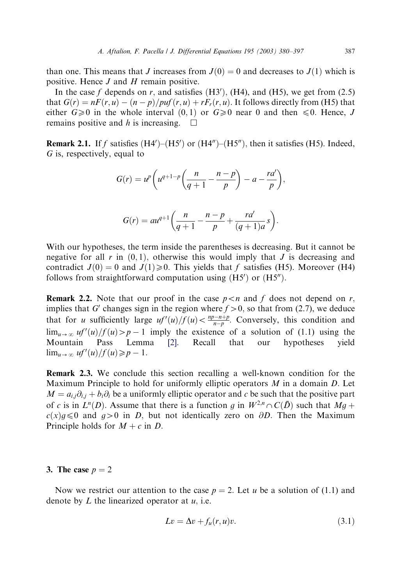than one. This means that J increases from  $J(0) = 0$  and decreases to  $J(1)$  which is positive. Hence  $J$  and  $H$  remain positive.

In the case f depends on r, and satisfies  $(H3')$ ,  $(H4)$ , and  $(H5)$ , we get from  $(2.5)$ that  $G(r) = nF(r, u) - (n - p)/puf(r, u) + rF<sub>r</sub>(r, u)$ . It follows directly from (H5) that either  $G \ge 0$  in the whole interval  $(0, 1)$  or  $G \ge 0$  near 0 and then  $\le 0$ . Hence, J remains positive and h is increasing.  $\Box$ 

**Remark 2.1.** If f satisfies  $(H4')-(H5')$  or  $(H4'')-(H5'')$ , then it satisfies (H5). Indeed, G is, respectively, equal to

$$
G(r) = u^p \left( u^{q+1-p} \left( \frac{n}{q+1} - \frac{n-p}{p} \right) - a - \frac{ra'}{p} \right),
$$

$$
G(r) = au^{q+1} \left( \frac{n}{q+1} - \frac{n-p}{p} + \frac{ra'}{(q+1)a} s \right).
$$

With our hypotheses, the term inside the parentheses is decreasing. But it cannot be negative for all r in  $(0, 1)$ , otherwise this would imply that J is decreasing and contradict  $J(0) = 0$  and  $J(1) \ge 0$ . This yields that f satisfies (H5). Moreover (H4) follows from straightforward computation using  $(H5')$  or  $(H5'')$ .

**Remark 2.2.** Note that our proof in the case  $p < n$  and f does not depend on r, implies that G' changes sign in the region where  $f > 0$ , so that from (2.7), we deduce that for u sufficiently large  $uf'(u)/f(u) < \frac{np-n+p}{n-p}$ . Conversely, this condition and  $\lim_{u\to\infty} uf'(u)/f(u) > p-1$  imply the existence of a solution of (1.1) using the Mountain Pass Lemma [\[2\]](#page-16-0). Recall that our hypotheses yield  $\lim_{u\to\infty} uf'(u)/f(u) \geq p-1.$ 

Remark 2.3. We conclude this section recalling a well-known condition for the Maximum Principle to hold for uniformly elliptic operators  $M$  in a domain  $D$ . Let  $M = a_{i,j}\partial_{i,j} + b_i\partial_i$  be a uniformly elliptic operator and c be such that the positive part of c is in  $L^n(D)$ . Assume that there is a function q in  $W^{2,n}\cap C(\bar{D})$  such that  $Mq +$  $c(x)g \le 0$  and  $g>0$  in D, but not identically zero on  $\partial D$ . Then the Maximum Principle holds for  $M + c$  in D.

#### 3. The case  $p = 2$

Now we restrict our attention to the case  $p = 2$ . Let u be a solution of (1.1) and denote by  $L$  the linearized operator at  $u$ , i.e.

$$
Lv = \Delta v + f_u(r, u)v. \tag{3.1}
$$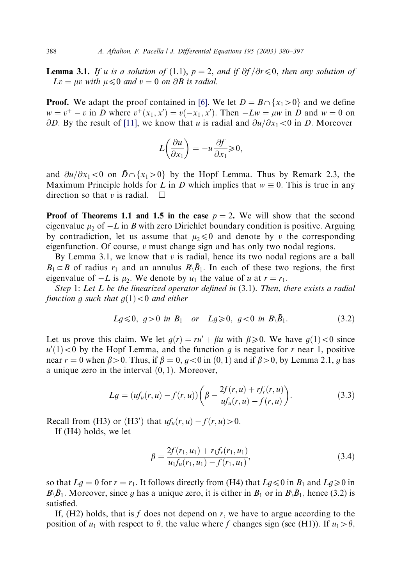**Lemma 3.1.** If u is a solution of (1.1),  $p = 2$ , and if  $\partial f / \partial r \le 0$ , then any solution of  $-Lv = \mu v$  with  $\mu \leq 0$  and  $v = 0$  on  $\partial B$  is radial.

**Proof.** We adapt the proof contained in [\[6\].](#page-16-0) We let  $D = B \cap \{x_1 > 0\}$  and we define  $w = v^+ - v$  in D where  $v^+(x_1, x') = v(-x_1, x')$ . Then  $-Lw = \mu w$  in D and  $w = 0$  on  $\partial D$ . By the result of [\[11\]](#page-16-0), we know that u is radial and  $\partial u/\partial x_1 < 0$  in D. Moreover

$$
L\left(\frac{\partial u}{\partial x_1}\right) = -u \frac{\partial f}{\partial x_1} \ge 0,
$$

and  $\partial u/\partial x_1 < 0$  on  $\overline{D} \cap \{x_1 > 0\}$  by the Hopf Lemma. Thus by Remark 2.3, the Maximum Principle holds for L in D which implies that  $w \equiv 0$ . This is true in any direction so that v is radial.  $\square$ 

**Proof of Theorems 1.1 and 1.5 in the case**  $p = 2$ . We will show that the second eigenvalue  $\mu_2$  of  $-L$  in B with zero Dirichlet boundary condition is positive. Arguing by contradiction, let us assume that  $\mu_2 \leq 0$  and denote by v the corresponding eigenfunction. Of course,  $v$  must change sign and has only two nodal regions.

By Lemma 3.1, we know that  $v$  is radial, hence its two nodal regions are a ball  $B_1 \subset B$  of radius  $r_1$  and an annulus  $B\backslash \overline{B}_1$ . In each of these two regions, the first eigenvalue of  $-L$  is  $\mu_2$ . We denote by  $u_1$  the value of u at  $r = r_1$ .

Step 1: Let  $L$  be the linearized operator defined in  $(3.1)$ . Then, there exists a radial function g such that  $q(1) < 0$  and either

$$
Lg \le 0
$$
,  $g > 0$  in  $B_1$  or  $Lg \ge 0$ ,  $g < 0$  in  $B \setminus \bar{B}_1$ . (3.2)

Let us prove this claim. We let  $q(r) = ru' + \beta u$  with  $\beta \ge 0$ . We have  $q(1) < 0$  since  $u'(1)$  < 0 by the Hopf Lemma, and the function g is negative for r near 1, positive near  $r = 0$  when  $\beta > 0$ . Thus, if  $\beta = 0$ ,  $q < 0$  in  $(0, 1)$  and if  $\beta > 0$ , by Lemma 2.1, q has a unique zero in the interval  $(0, 1)$ . Moreover,

$$
Lg = (uf_u(r, u) - f(r, u)) \left( \beta - \frac{2f(r, u) + rf_r(r, u)}{uf_u(r, u) - f(r, u)} \right).
$$
 (3.3)

Recall from (H3) or (H3') that  $uf_u(r, u) - f(r, u) > 0$ .

If (H4) holds, we let

$$
\beta = \frac{2f(r_1, u_1) + r_1 f_r(r_1, u_1)}{u_1 f_u(r_1, u_1) - f(r_1, u_1)},
$$
\n(3.4)

so that  $Lg = 0$  for  $r = r_1$ . It follows directly from (H4) that  $Lg \le 0$  in  $B_1$  and  $Lg \ge 0$  in  $B\setminus \bar{B}_1$ . Moreover, since g has a unique zero, it is either in  $B_1$  or in  $B\setminus \bar{B}_1$ , hence (3.2) is satisfied.

If,  $(H2)$  holds, that is f does not depend on r, we have to argue according to the position of  $u_1$  with respect to  $\theta$ , the value where f changes sign (see (H1)). If  $u_1 > \theta$ ,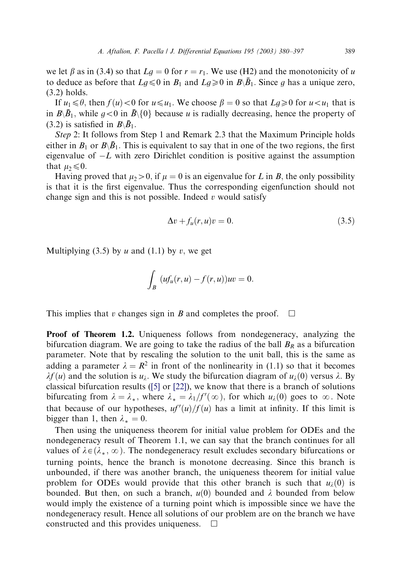we let  $\beta$  as in (3.4) so that  $Lg = 0$  for  $r = r_1$ . We use (H2) and the monotonicity of u to deduce as before that  $Lg \leq 0$  in  $B_1$  and  $Lg \geq 0$  in  $B\setminus \overline{B}_1$ . Since g has a unique zero, (3.2) holds.

If  $u_1 \leq \theta$ , then  $f(u) < 0$  for  $u \leq u_1$ . We choose  $\beta = 0$  so that  $L_g \geq 0$  for  $u < u_1$  that is in  $B\setminus \overline{B}_1$ , while  $g<0$  in  $\overline{B}\setminus\{0\}$  because u is radially decreasing, hence the property of (3.2) is satisfied in  $B\backslash \bar{B}_1$ .

Step 2: It follows from Step 1 and Remark 2.3 that the Maximum Principle holds either in  $B_1$  or  $B\backslash \bar{B}_1$ . This is equivalent to say that in one of the two regions, the first eigenvalue of  $-L$  with zero Dirichlet condition is positive against the assumption that  $\mu_2 \leq 0$ .

Having proved that  $\mu_2 > 0$ , if  $\mu = 0$  is an eigenvalue for L in B, the only possibility is that it is the first eigenvalue. Thus the corresponding eigenfunction should not change sign and this is not possible. Indeed  $v$  would satisfy

$$
\Delta v + f_u(r, u)v = 0. \tag{3.5}
$$

Multiplying (3.5) by u and (1.1) by v, we get

$$
\int_B (u f_u(r, u) - f(r, u)) uv = 0.
$$

This implies that v changes sign in B and completes the proof.  $\Box$ 

**Proof of Theorem 1.2.** Uniqueness follows from nondegeneracy, analyzing the bifurcation diagram. We are going to take the radius of the ball  $B_R$  as a bifurcation parameter. Note that by rescaling the solution to the unit ball, this is the same as adding a parameter  $\lambda = R^2$  in front of the nonlinearity in (1.1) so that it becomes  $\lambda f(u)$  and the solution is  $u_{\lambda}$ . We study the bifurcation diagram of  $u_{\lambda}(0)$  versus  $\lambda$ . By classical bifurcation results ( $[5]$  or  $[22]$ ), we know that there is a branch of solutions bifurcating from  $\lambda = \lambda_*$ , where  $\lambda_* = \lambda_1/f'(\infty)$ , for which  $u_\lambda(0)$  goes to  $\infty$ . Note that because of our hypotheses,  $uf'(u)/f(u)$  has a limit at infinity. If this limit is bigger than 1, then  $\lambda_* = 0$ .

Then using the uniqueness theorem for initial value problem for ODEs and the nondegeneracy result of Theorem 1.1, we can say that the branch continues for all values of  $\lambda \in (\lambda_*, \infty)$ . The nondegeneracy result excludes secondary bifurcations or turning points, hence the branch is monotone decreasing. Since this branch is unbounded, if there was another branch, the uniqueness theorem for initial value problem for ODEs would provide that this other branch is such that  $u_i(0)$  is bounded. But then, on such a branch,  $u(0)$  bounded and  $\lambda$  bounded from below would imply the existence of a turning point which is impossible since we have the nondegeneracy result. Hence all solutions of our problem are on the branch we have constructed and this provides uniqueness.  $\Box$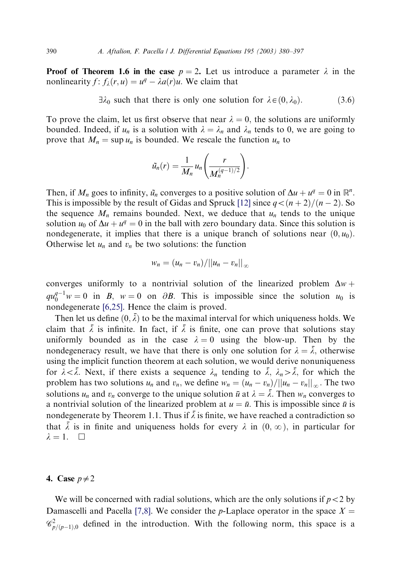**Proof of Theorem 1.6 in the case**  $p = 2$ . Let us introduce a parameter  $\lambda$  in the nonlinearity  $f: f_{\lambda}(r, u) = u^q - \lambda a(r)u$ . We claim that

 $\exists \lambda_0$  such that there is only one solution for  $\lambda \in (0, \lambda_0)$ . (3.6)

To prove the claim, let us first observe that near  $\lambda = 0$ , the solutions are uniformly bounded. Indeed, if  $u_n$  is a solution with  $\lambda = \lambda_n$  and  $\lambda_n$  tends to 0, we are going to prove that  $M_n = \sup u_n$  is bounded. We rescale the function  $u_n$  to

$$
\tilde{u}_n(r) = \frac{1}{M_n} u_n\left(\frac{r}{M_n^{(q-1)/2}}\right).
$$

Then, if  $M_n$  goes to infinity,  $\tilde{u}_n$  converges to a positive solution of  $\Delta u + u^q = 0$  in  $\mathbb{R}^n$ . This is impossible by the result of Gidas and Spruck [\[12\]](#page-16-0) since  $q < (n + 2)/(n - 2)$ . So the sequence  $M_n$  remains bounded. Next, we deduce that  $u_n$  tends to the unique solution  $u_0$  of  $\Delta u + u^q = 0$  in the ball with zero boundary data. Since this solution is nondegenerate, it implies that there is a unique branch of solutions near  $(0, u_0)$ . Otherwise let  $u_n$  and  $v_n$  be two solutions: the function

$$
w_n=(u_n-v_n)/||u_n-v_n||_{\infty}
$$

converges uniformly to a nontrivial solution of the linearized problem  $\Delta w$  +  $qu_0^{q-1}w = 0$  in B,  $w = 0$  on  $\partial B$ . This is impossible since the solution  $u_0$  is nondegenerate [\[6,25\]](#page-16-0). Hence the claim is proved.

Then let us define  $(0, \bar{\lambda})$  to be the maximal interval for which uniqueness holds. We claim that  $\bar{\lambda}$  is infinite. In fact, if  $\bar{\lambda}$  is finite, one can prove that solutions stay uniformly bounded as in the case  $\lambda = 0$  using the blow-up. Then by the nondegeneracy result, we have that there is only one solution for  $\lambda = \overline{\lambda}$ , otherwise using the implicit function theorem at each solution, we would derive nonuniqueness for  $\lambda < \overline{\lambda}$ . Next, if there exists a sequence  $\lambda_n$  tending to  $\overline{\lambda}$ ,  $\lambda_n > \overline{\lambda}$ , for which the problem has two solutions  $u_n$  and  $v_n$ , we define  $w_n = (u_n - v_n)/||u_n - v_n||_{\infty}$ . The two solutions  $u_n$  and  $v_n$  converge to the unique solution  $\bar{u}$  at  $\lambda = \bar{\lambda}$ . Then  $w_n$  converges to a nontrivial solution of the linearized problem at  $u = \bar{u}$ . This is impossible since  $\bar{u}$  is nondegenerate by Theorem 1.1. Thus if  $\overline{\lambda}$  is finite, we have reached a contradiction so that  $\overline{\lambda}$  is in finite and uniqueness holds for every  $\lambda$  in  $(0,\infty)$ , in particular for  $\lambda = 1. \quad \Box$ 

# 4. Case  $p\neq 2$

We will be concerned with radial solutions, which are the only solutions if  $p < 2$  by Damascelli and Pacella [\[7,8\]](#page-16-0). We consider the p-Laplace operator in the space  $X =$  $\mathscr{C}_{p/(p-1),0}^2$  defined in the introduction. With the following norm, this space is a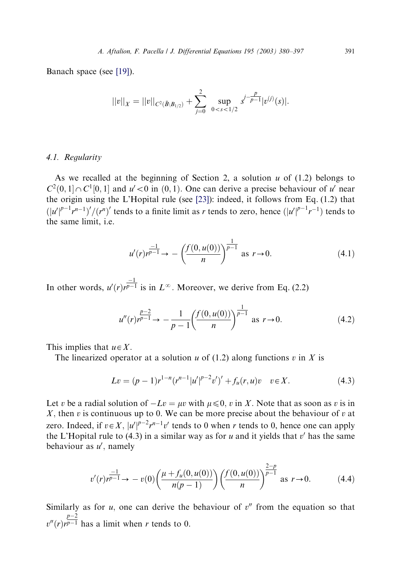Banach space (see [\[19\]](#page-16-0)).

$$
||v||_X = ||v||_{C^2(\bar{B}\setminus B_{1/2})} + \sum_{j=0}^2 \sup_{0 < s < 1/2} s^{j-\frac{p}{p-1}} |v^{(j)}(s)|.
$$

# 4.1. Regularity

As we recalled at the beginning of Section 2, a solution  $u$  of (1.2) belongs to  $C^2(0,1] \cap C^1[0,1]$  and  $u' < 0$  in  $(0,1)$ . One can derive a precise behaviour of u' near the origin using the L'Hopital rule (see [\[23\]\)](#page-17-0): indeed, it follows from Eq. (1.2) that  $(|u'|^{p-1}r^{n-1})'/(r^n)'$  tends to a finite limit as r tends to zero, hence  $(|u'|^{p-1}r^{-1})$  tends to the same limit, i.e.

$$
u'(r)r^{\frac{-1}{p-1}} \to -\left(\frac{f(0, u(0))}{n}\right)^{\frac{1}{p-1}} \text{ as } r \to 0. \tag{4.1}
$$

In other words,  $u'(r)r^{\frac{-1}{p-1}}$  is in  $L^{\infty}$ . Moreover, we derive from Eq. (2.2)

$$
u''(r)r^{p-1} \to -\frac{1}{p-1} \left( \frac{f(0, u(0))}{n} \right)^{\frac{1}{p-1}} \text{ as } r \to 0. \tag{4.2}
$$

This implies that  $u \in X$ .

The linearized operator at a solution u of  $(1.2)$  along functions v in X is

$$
Lv = (p-1)r^{1-n}(r^{n-1}|u'|^{p-2}v')' + f_u(r,u)v \quad v \in X.
$$
 (4.3)

Let v be a radial solution of  $-Lv = \mu v$  with  $\mu \leq 0$ , v in X. Note that as soon as v is in  $X$ , then v is continuous up to 0. We can be more precise about the behaviour of v at zero. Indeed, if  $v \in X$ ,  $|u'|^{p-2}r^{n-1}v'$  tends to 0 when r tends to 0, hence one can apply the L'Hopital rule to  $(4.3)$  in a similar way as for u and it yields that v' has the same behaviour as  $u'$ , namely

$$
v'(r)r^{\frac{-1}{p-1}} \to -v(0)\left(\frac{\mu + f_u(0, u(0))}{n(p-1)}\right)\left(\frac{f(0, u(0))}{n}\right)^{\frac{2-p}{p-1}} \text{ as } r \to 0. \tag{4.4}
$$

Similarly as for  $u$ , one can derive the behaviour of  $v''$  from the equation so that  $v''(r)r^{p-1}$  has a limit when r tends to 0.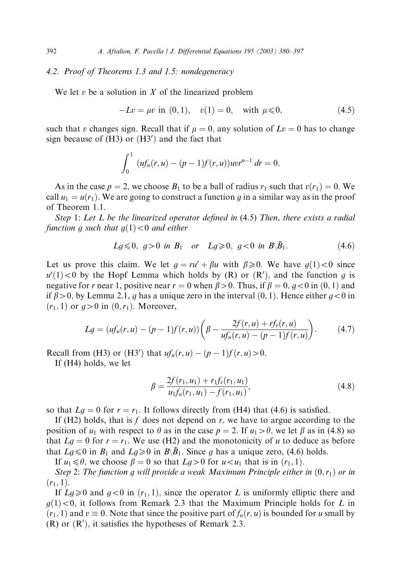# 4.2. Proof of Theorems 1.3 and 1.5: nondegeneracy

We let  $v$  be a solution in  $X$  of the linearized problem

$$
-Lv = \mu v \text{ in } (0,1), \quad v(1) = 0, \quad \text{with } \mu \leq 0,
$$
 (4.5)

such that v changes sign. Recall that if  $\mu = 0$ , any solution of  $Lv = 0$  has to change sign because of  $(H3)$  or  $(H3')$  and the fact that

$$
\int_0^1 (uf_u(r, u) - (p-1)f(r, u))uv^{n-1} dr = 0.
$$

As in the case  $p = 2$ , we choose  $B_1$  to be a ball of radius  $r_1$  such that  $v(r_1) = 0$ . We call  $u_1 = u(r_1)$ . We are going to construct a function g in a similar way as in the proof of Theorem 1.1.

Step 1: Let  $L$  be the linearized operator defined in  $(4.5)$  Then, there exists a radial function g such that  $g(1) < 0$  and either

$$
Lg \le 0
$$
,  $g > 0$  in  $B_1$  or  $Lg \ge 0$ ,  $g < 0$  in  $B \setminus \bar{B}_1$ . (4.6)

Let us prove this claim. We let  $g = ru' + \beta u$  with  $\beta \ge 0$ . We have  $g(1) < 0$  since  $u'(1)$  < 0 by the Hopf Lemma which holds by (R) or  $(R')$ , and the function g is negative for r near 1, positive near  $r = 0$  when  $\beta > 0$ . Thus, if  $\beta = 0$ ,  $q < 0$  in  $(0, 1)$  and if  $\beta > 0$ , by Lemma 2.1, q has a unique zero in the interval  $(0, 1)$ . Hence either  $q < 0$  in  $(r_1, 1)$  or  $q>0$  in  $(0, r_1)$ . Moreover,

$$
Lg = (uf_u(r, u) - (p - 1)f(r, u))\left(\beta - \frac{2f(r, u) + rf_r(r, u)}{uf_u(r, u) - (p - 1)f(r, u)}\right).
$$
 (4.7)

Recall from (H3) or (H3') that  $uf_u(r, u) - (p-1)f(r, u) > 0$ .

If (H4) holds, we let

$$
\beta = \frac{2f(r_1, u_1) + r_1 f_r(r_1, u_1)}{u_1 f_u(r_1, u_1) - f(r_1, u_1)},
$$
\n(4.8)

so that  $Lq = 0$  for  $r = r_1$ . It follows directly from (H4) that (4.6) is satisfied.

If (H2) holds, that is  $f$  does not depend on  $r$ , we have to argue according to the position of  $u_1$  with respect to  $\theta$  as in the case  $p = 2$ . If  $u_1 > \theta$ , we let  $\beta$  as in (4.8) so that  $Lg = 0$  for  $r = r_1$ . We use (H2) and the monotonicity of u to deduce as before that  $Lg \le 0$  in  $B_1$  and  $Lg \ge 0$  in  $B\setminus \overline{B_1}$ . Since g has a unique zero, (4.6) holds.

If  $u_1 \le \theta$ , we choose  $\beta = 0$  so that  $Lg > 0$  for  $u < u_1$  that is in  $(r_1, 1)$ .

Step 2: The function g will provide a weak Maximum Principle either in  $(0,r_1)$  or in  $(r_1, 1).$ 

If  $Lg \geq 0$  and  $g < 0$  in  $(r_1, 1)$ , since the operator L is uniformly elliptic there and  $g(1)$ <0, it follows from Remark 2.3 that the Maximum Principle holds for L in  $(r_1, 1)$  and  $v \equiv 0$ . Note that since the positive part of  $f_u(r, u)$  is bounded for u small by  $(R)$  or  $(R')$ , it satisfies the hypotheses of Remark 2.3.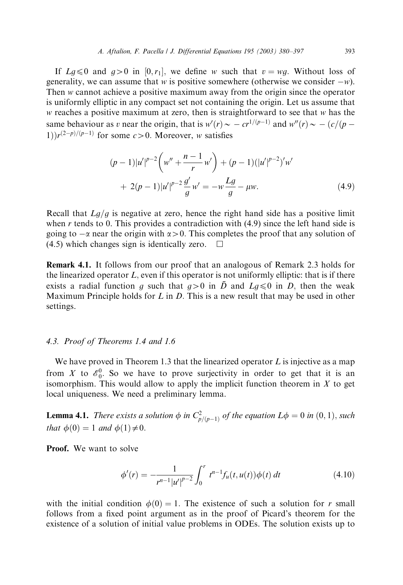If  $Lg \le 0$  and  $g>0$  in  $[0, r_1]$ , we define w such that  $v = wg$ . Without loss of generality, we can assume that w is positive somewhere (otherwise we consider  $-w$ ). Then w cannot achieve a positive maximum awayfrom the origin since the operator is uniformlyelliptic in anycompact set not containing the origin. Let us assume that w reaches a positive maximum at zero, then is straightforward to see that w has the same behaviour as v near the origin, that is  $w'(r) \sim -c r^{1/(p-1)}$  and  $w''(r) \sim -\frac{c}{p-1}$ 1) $r^{(2-p)/(p-1)}$  for some  $c>0$ . Moreover, w satisfies

$$
(p-1)|u'|^{p-2}\left(w'' + \frac{n-1}{r}w'\right) + (p-1)(|u'|^{p-2})'w'
$$
  
+ 2(p-1)|u'|^{p-2}\frac{g'}{g}w' = -w\frac{Lg}{g} - \mu w. (4.9)

Recall that  $Lg/g$  is negative at zero, hence the right hand side has a positive limit when r tends to 0. This provides a contradiction with  $(4.9)$  since the left hand side is going to  $-\alpha$  near the origin with  $\alpha > 0$ . This completes the proof that any solution of  $(4.5)$  which changes sign is identically zero.  $\Box$ 

Remark 4.1. It follows from our proof that an analogous of Remark 2.3 holds for the linearized operator  $L$ , even if this operator is not uniformly elliptic: that is if there exists a radial function g such that  $g>0$  in  $\overline{D}$  and  $Lg\leq0$  in D, then the weak Maximum Principle holds for L in D. This is a new result that may be used in other settings.

## 4.3. Proof of Theorems 1.4 and 1.6

We have proved in Theorem 1.3 that the linearized operator  $L$  is injective as a map from X to  $\mathscr{E}_0^0$ . So we have to prove surjectivity in order to get that it is an isomorphism. This would allow to apply the implicit function theorem in  $X$  to get local uniqueness. We need a preliminary lemma.

**Lemma 4.1.** There exists a solution  $\phi$  in  $C_{p/(p-1)}^2$  of the equation  $L\phi = 0$  in  $(0, 1)$ , such that  $\phi(0) = 1$  and  $\phi(1) \neq 0$ .

**Proof.** We want to solve

$$
\phi'(r) = -\frac{1}{r^{n-1}|u'|^{p-2}} \int_0^r t^{n-1} f_u(t, u(t)) \phi(t) dt
$$
\n(4.10)

with the initial condition  $\phi(0) = 1$ . The existence of such a solution for r small follows from a fixed point argument as in the proof of Picard's theorem for the existence of a solution of initial value problems in ODEs. The solution exists up to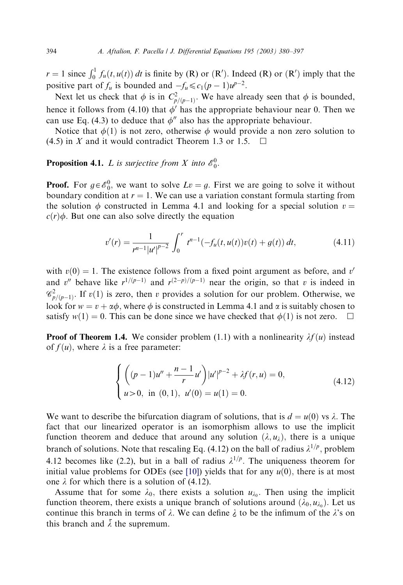$r = 1$  since  $\int_0^1 f_u(t, u(t)) dt$  is finite by (R) or (R'). Indeed (R) or (R') imply that the positive part of  $f_u$  is bounded and  $-f_u \leq c_1(p-1)u^{p-2}$ .

Next let us check that  $\phi$  is in  $C_{p/(p-1)}^2$ . We have already seen that  $\phi$  is bounded, hence it follows from (4.10) that  $\phi'$  has the appropriate behaviour near 0. Then we can use Eq. (4.3) to deduce that  $\phi''$  also has the appropriate behaviour.

Notice that  $\phi(1)$  is not zero, otherwise  $\phi$  would provide a non zero solution to  $(4.5)$  in X and it would contradict Theorem 1.3 or 1.5.

**Proposition 4.1.** *L* is surjective from *X* into  $\mathscr{E}_0^0$ .

**Proof.** For  $g \in \mathcal{E}_0^0$ , we want to solve  $Lv = g$ . First we are going to solve it without boundary condition at  $r = 1$ . We can use a variation constant formula starting from the solution  $\phi$  constructed in Lemma 4.1 and looking for a special solution  $v =$  $c(r)\phi$ . But one can also solve directly the equation

$$
v'(r) = \frac{1}{r^{n-1} |u'|^{p-2}} \int_0^r t^{n-1} (-f_u(t, u(t))v(t) + g(t)) dt,
$$
\n(4.11)

with  $v(0) = 1$ . The existence follows from a fixed point argument as before, and v' and v<sup>n</sup> behave like  $r^{1/(p-1)}$  and  $r^{(2-p)/(p-1)}$  near the origin, so that v is indeed in  $\mathscr{C}_{p/(p-1)}^2$ . If  $v(1)$  is zero, then v provides a solution for our problem. Otherwise, we look for  $w = v + \alpha \phi$ , where  $\phi$  is constructed in Lemma 4.1 and  $\alpha$  is suitably chosen to satisfy  $w(1) = 0$ . This can be done since we have checked that  $\phi(1)$  is not zero.  $\Box$ 

**Proof of Theorem 1.4.** We consider problem (1.1) with a nonlinearity  $\lambda f(u)$  instead of  $f(u)$ , where  $\lambda$  is a free parameter:

$$
\begin{cases}\n\left((p-1)u'' + \frac{n-1}{r}u'\right)|u'|^{p-2} + \lambda f(r, u) = 0, \\
u > 0, \text{ in } (0, 1), u'(0) = u(1) = 0.\n\end{cases}
$$
\n(4.12)

We want to describe the bifurcation diagram of solutions, that is  $d = u(0)$  vs  $\lambda$ . The fact that our linearized operator is an isomorphism allows to use the implicit function theorem and deduce that around any solution  $(\lambda, u_\lambda)$ , there is a unique branch of solutions. Note that rescaling Eq. (4.12) on the ball of radius  $\lambda^{1/p}$ , problem 4.12 becomes like (2.2), but in a ball of radius  $\lambda^{1/p}$ . The uniqueness theorem for initial value problems for ODEs (see [\[10\]](#page-16-0)) yields that for any  $u(0)$ , there is at most one  $\lambda$  for which there is a solution of (4.12).

Assume that for some  $\lambda_0$ , there exists a solution  $u_{\lambda_0}$ . Then using the implicit function theorem, there exists a unique branch of solutions around  $(\lambda_0, u_{\lambda_0})$ . Let us continue this branch in terms of  $\lambda$ . We can define  $\lambda$  to be the infimum of the  $\lambda$ 's on this branch and  $\overline{\lambda}$  the supremum this branch and  $\bar{\lambda}$  the supremum.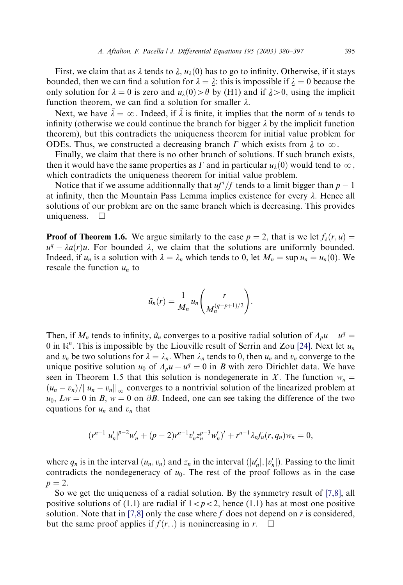First, we claim that as  $\lambda$  tends to  $\lambda$ ,  $u_{\lambda}(0)$  has to go to infinity. Otherwise, if it stays unded then we can find a solution for  $\lambda = \lambda$ ; this is impossible if  $\lambda = 0$  because the bounded, then we can find a solution for  $\lambda = \lambda$ : this is impossible if  $\lambda = 0$  because the only solution for  $\lambda = 0$  is zero and  $u_2(0) > \theta$  by (H1) and if  $\lambda > 0$  using the implicit only solution for  $\lambda = 0$  is zero and  $u_{\lambda}(0) > \theta$  by (H1) and if  $\lambda > 0$ , using the implicit function theorem, we can find a solution for smaller  $\lambda$ function theorem, we can find a solution for smaller  $\lambda$ .

Next, we have  $\bar{\lambda} = \infty$ . Indeed, if  $\bar{\lambda}$  is finite, it implies that the norm of u tends to infinity (otherwise we could continue the branch for bigger  $\lambda$  by the implicit function theorem), but this contradicts the uniqueness theorem for initial value problem for ODEs. Thus, we constructed a decreasing branch  $\Gamma$  which exists from  $\lambda$  to  $\infty$ .<br>Finally we claim that there is no other branch of solutions. If such branch as

Finally, we claim that there is no other branch of solutions. If such branch exists, then it would have the same properties as  $\Gamma$  and in particular  $u_{\lambda}(0)$  would tend to  $\infty$ , which contradicts the uniqueness theorem for initial value problem.

Notice that if we assume additionnally that  $uf'/f$  tends to a limit bigger than  $p - 1$ at infinity, then the Mountain Pass Lemma implies existence for every  $\lambda$ . Hence all solutions of our problem are on the same branch which is decreasing. This provides uniqueness.  $\square$ 

**Proof of Theorem 1.6.** We argue similarly to the case  $p = 2$ , that is we let  $f_i(r, u) =$  $u^q - \lambda a(r)u$ . For bounded  $\lambda$ , we claim that the solutions are uniformly bounded. Indeed, if  $u_n$  is a solution with  $\lambda = \lambda_n$  which tends to 0, let  $M_n = \sup u_n = u_n(0)$ . We rescale the function  $u_n$  to

$$
\tilde{u}_n(r) = \frac{1}{M_n} u_n\left(\frac{r}{M_n^{(q-p+1)/2}}\right)
$$

:

Then, if  $M_n$  tends to infinity,  $\tilde{u}_n$  converges to a positive radial solution of  $\Delta_p u + u^q =$ 0 in  $\mathbb{R}^n$ . This is impossible by the Liouville result of Serrin and Zou [\[24\].](#page-17-0) Next let  $u_n$ and  $v_n$  be two solutions for  $\lambda = \lambda_n$ . When  $\lambda_n$  tends to 0, then  $u_n$  and  $v_n$  converge to the unique positive solution  $u_0$  of  $\Delta_p u + u^q = 0$  in B with zero Dirichlet data. We have seen in Theorem 1.5 that this solution is nondegenerate in X. The function  $w_n =$  $(u_n - v_n)/||u_n - v_n||_{\infty}$  converges to a nontrivial solution of the linearized problem at  $u_0, Lw = 0$  in B,  $w = 0$  on  $\partial B$ . Indeed, one can see taking the difference of the two equations for  $u_n$  and  $v_n$  that

$$
(r^{n-1}|u'_n|^{p-2}w'_n+(p-2)r^{n-1}v'_n z_n^{p-3}w'_n)' + r^{n-1}\lambda_nf_u(r,q_n)w_n = 0,
$$

where  $q_n$  is in the interval  $(u_n, v_n)$  and  $z_n$  in the interval  $(|u'_n|, |v'_n|)$ . Passing to the limit contradicts the nondegeneracy of  $u_0$ . The rest of the proof follows as in the case  $p = 2.$ 

So we get the uniqueness of a radial solution. By the symmetry result of  $[7,8]$ , all positive solutions of (1.1) are radial if  $1 < p < 2$ , hence (1.1) has at most one positive solution. Note that in [\[7,8\]](#page-16-0) only the case where f does not depend on r is considered, but the same proof applies if  $f(r, \cdot)$  is nonincreasing in r.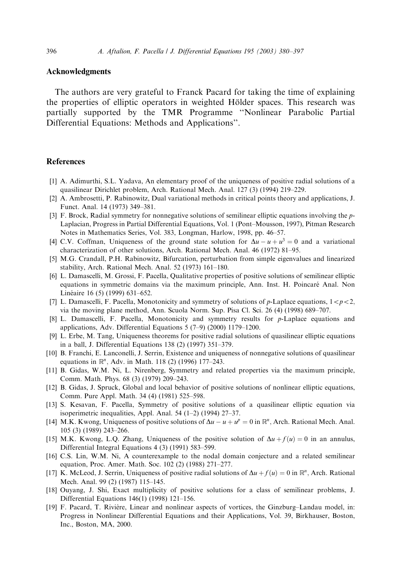## <span id="page-16-0"></span>Acknowledgments

The authors are very grateful to Franck Pacard for taking the time of explaining the properties of elliptic operators in weighted Hölder spaces. This research was partially supported by the TMR Programme "Nonlinear Parabolic Partial Differential Equations: Methods and Applications''.

#### References

- [1] A. Adimurthi, S.L. Yadava, An elementary proof of the uniqueness of positive radial solutions of a quasilinear Dirichlet problem, Arch. Rational Mech. Anal. 127 (3) (1994) 219–229.
- [2] A. Ambrosetti, P. Rabinowitz, Dual variational methods in critical points theoryand applications, J. Funct. Anal. 14 (1973) 349–381.
- [3] F. Brock, Radial symmetry for nonnegative solutions of semilinear elliptic equations involving the p-Laplacian, Progress in Partial Differential Equations, Vol. 1 (Pont–Mousson, 1997), Pitman Research Notes in Mathematics Series, Vol. 383, Longman, Harlow, 1998, pp. 46–57.
- [4] C.V. Coffman, Uniqueness of the ground state solution for  $\Delta u u + u^3 = 0$  and a variational characterization of other solutions, Arch. Rational Mech. Anal. 46 (1972) 81–95.
- [5] M.G. Crandall, P.H. Rabinowitz, Bifurcation, perturbation from simple eigenvalues and linearized stability, Arch. Rational Mech. Anal. 52 (1973) 161–180.
- [6] L. Damascelli, M. Grossi, F. Pacella, Qualitative properties of positive solutions of semilinear elliptic equations in symmetric domains via the maximum principle, Ann. Inst. H. Poincaré Anal. Non Linéaire 16 (5) (1999) 631–652.
- [7] L. Damascelli, F. Pacella, Monotonicity and symmetry of solutions of p-Laplace equations,  $1 < p < 2$ , via the moving plane method, Ann. Scuola Norm. Sup. Pisa Cl. Sci. 26 (4) (1998) 689–707.
- [8] L. Damascelli, F. Pacella, Monotonicity and symmetry results for p-Laplace equations and applications, Adv. Differential Equations 5 (7–9) (2000) 1179–1200.
- [9] L. Erbe, M. Tang, Uniqueness theorems for positive radial solutions of quasilinear elliptic equations in a ball, J. Differential Equations 138 (2) (1997) 351–379.
- [10] B. Franchi, E. Lanconelli, J. Serrin, Existence and uniqueness of nonnegative solutions of quasilinear equations in  $\mathbb{R}^n$ , Adv. in Math. 118 (2) (1996) 177–243.
- [11] B. Gidas, W.M. Ni, L. Nirenberg, Symmetry and related properties via the maximum principle, Comm. Math. Phys. 68 (3) (1979) 209–243.
- [12] B. Gidas, J. Spruck, Global and local behavior of positive solutions of nonlinear elliptic equations, Comm. Pure Appl. Math. 34 (4) (1981) 525–598.
- [13] S. Kesavan, F. Pacella, Symmetry of positive solutions of a quasilinear elliptic equation via isoperimetric inequalities, Appl. Anal. 54 (1–2) (1994) 27–37.
- [14] M.K. Kwong, Uniqueness of positive solutions of  $\Delta u u + u^p = 0$  in  $\mathbb{R}^n$ , Arch. Rational Mech. Anal. 105 (3) (1989) 243–266.
- [15] M.K. Kwong, L.Q. Zhang, Uniqueness of the positive solution of  $\Delta u + f(u) = 0$  in an annulus, Differential Integral Equations 4 (3) (1991) 583–599.
- [16] C.S. Lin, W.M. Ni, A counterexample to the nodal domain conjecture and a related semilinear equation, Proc. Amer. Math. Soc. 102 (2) (1988) 271–277.
- [17] K. McLeod, J. Serrin, Uniqueness of positive radial solutions of  $\Delta u + f(u) = 0$  in  $\mathbb{R}^n$ , Arch. Rational Mech. Anal. 99 (2) (1987) 115–145.
- [18] Ouyang, J. Shi, Exact multiplicity of positive solutions for a class of semilinear problems, J. Differential Equations 146(1) (1998) 121–156.
- [19] F. Pacard, T. Rivière, Linear and nonlinear aspects of vortices, the Ginzburg–Landau model, in: Progress in Nonlinear Differential Equations and their Applications, Vol. 39, Birkhauser, Boston, Inc., Boston, MA, 2000.